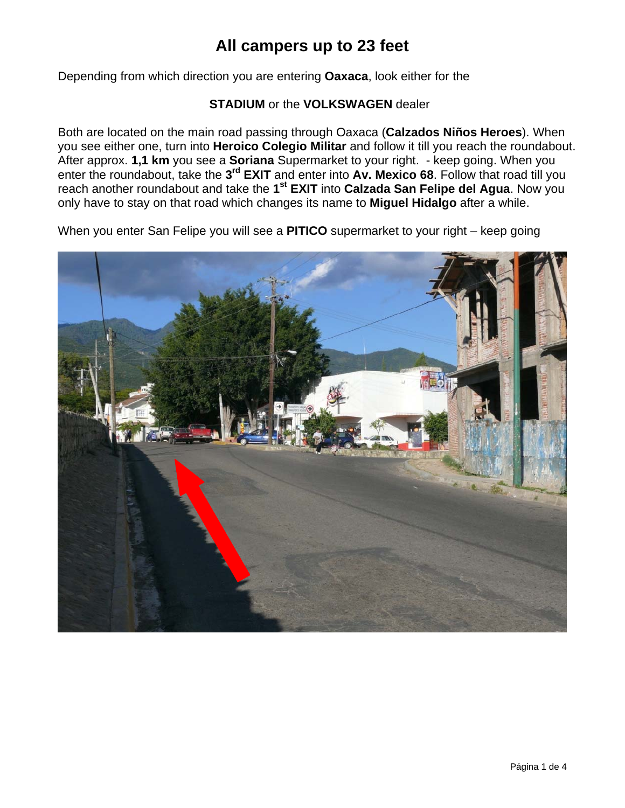Depending from which direction you are entering **Oaxaca**, look either for the

#### **STADIUM** or the **VOLKSWAGEN** dealer

Both are located on the main road passing through Oaxaca (**Calzados Niños Heroes**). When you see either one, turn into **Heroico Colegio Militar** and follow it till you reach the roundabout. After approx. **1,1 km** you see a **Soriana** Supermarket to your right. - keep going. When you enter the roundabout, take the **3rd EXIT** and enter into **Av. Mexico 68**. Follow that road till you reach another roundabout and take the **1st EXIT** into **Calzada San Felipe del Agua**. Now you only have to stay on that road which changes its name to **Miguel Hidalgo** after a while.

When you enter San Felipe you will see a **PITICO** supermarket to your right – keep going

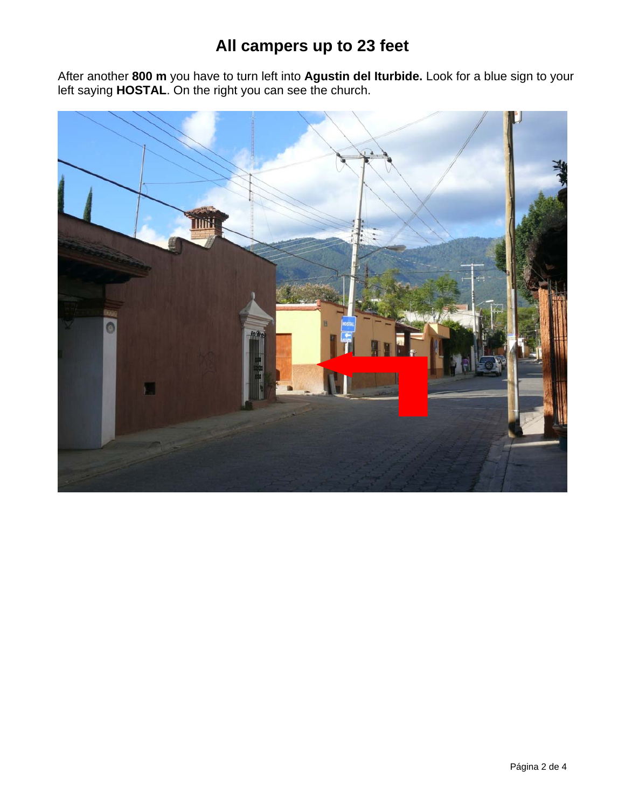After another **800 m** you have to turn left into **Agustin del Iturbide.** Look for a blue sign to your left saying **HOSTAL**. On the right you can see the church.

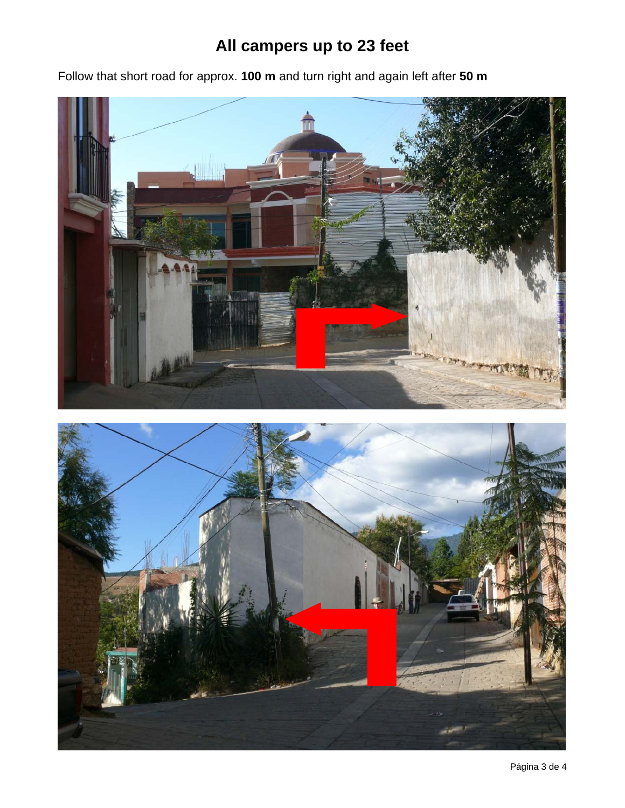Follow that short road for approx. **100 m** and turn right and again left after **50 m**